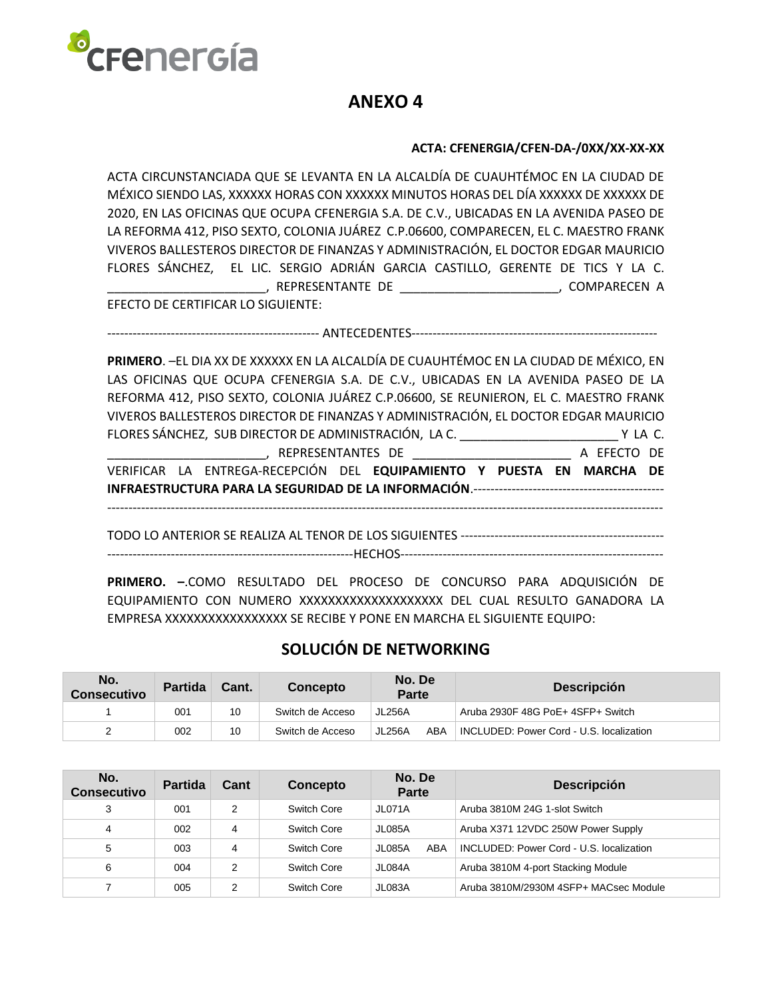

### **ANEXO 4**

### **ACTA: CFENERGIA/CFEN-DA-/0XX/XX-XX-XX**

ACTA CIRCUNSTANCIADA QUE SE LEVANTA EN LA ALCALDÍA DE CUAUHTÉMOC EN LA CIUDAD DE MÉXICO SIENDO LAS, XXXXXX HORAS CON XXXXXX MINUTOS HORAS DEL DÍA XXXXXX DE XXXXXX DE 2020, EN LAS OFICINAS QUE OCUPA CFENERGIA S.A. DE C.V., UBICADAS EN LA AVENIDA PASEO DE LA REFORMA 412, PISO SEXTO, COLONIA JUÁREZ C.P.06600, COMPARECEN, EL C. MAESTRO FRANK VIVEROS BALLESTEROS DIRECTOR DE FINANZAS Y ADMINISTRACIÓN, EL DOCTOR EDGAR MAURICIO FLORES SÁNCHEZ, EL LIC. SERGIO ADRIÁN GARCIA CASTILLO, GERENTE DE TICS Y LA C. \_\_\_\_\_\_\_\_\_\_\_\_\_\_\_\_\_\_\_\_\_\_\_, REPRESENTANTE DE \_\_\_\_\_\_\_\_\_\_\_\_\_\_\_\_\_\_\_\_\_\_\_, COMPARECEN A EFECTO DE CERTIFICAR LO SIGUIENTE:

-------------------------------------------------- ANTECEDENTES----------------------------------------------------------

**PRIMERO**. –EL DIA XX DE XXXXXX EN LA ALCALDÍA DE CUAUHTÉMOC EN LA CIUDAD DE MÉXICO, EN LAS OFICINAS QUE OCUPA CFENERGIA S.A. DE C.V., UBICADAS EN LA AVENIDA PASEO DE LA REFORMA 412, PISO SEXTO, COLONIA JUÁREZ C.P.06600, SE REUNIERON, EL C. MAESTRO FRANK VIVEROS BALLESTEROS DIRECTOR DE FINANZAS Y ADMINISTRACIÓN, EL DOCTOR EDGAR MAURICIO FLORES SÁNCHEZ, SUB DIRECTOR DE ADMINISTRACIÓN, LA C. \_\_\_\_\_\_\_\_\_\_\_\_\_\_\_\_\_\_\_\_\_\_\_ Y LA C. \_\_\_\_\_\_\_\_\_\_\_\_\_\_\_\_\_\_\_\_\_\_\_, REPRESENTANTES DE \_\_\_\_\_\_\_\_\_\_\_\_\_\_\_\_\_\_\_\_\_\_\_ A EFECTO DE VERIFICAR LA ENTREGA-RECEPCIÓN DEL **EQUIPAMIENTO Y PUESTA EN MARCHA DE INFRAESTRUCTURA PARA LA SEGURIDAD DE LA INFORMACIÓN**.--------------------------------------------- -----------------------------------------------------------------------------------------------------------------------------------

TODO LO ANTERIOR SE REALIZA AL TENOR DE LOS SIGUIENTES ------------------------------------------------ ----------------------------------------------------------HECHOS--------------------------------------------------------------

**PRIMERO. –**.COMO RESULTADO DEL PROCESO DE CONCURSO PARA ADQUISICIÓN DE EQUIPAMIENTO CON NUMERO XXXXXXXXXXXXXXXXXXXX DEL CUAL RESULTO GANADORA LA EMPRESA XXXXXXXXXXXXXXXXX SE RECIBE Y PONE EN MARCHA EL SIGUIENTE EQUIPO:

### **SOLUCIÓN DE NETWORKING**

| No.<br><b>Consecutivo</b> | <b>Partida</b> | Cant. | <b>Concepto</b>  | No. De<br>Parte      | <b>Descripción</b>                       |
|---------------------------|----------------|-------|------------------|----------------------|------------------------------------------|
|                           | 001            | 10    | Switch de Acceso | JL256A               | Aruba 2930F 48G PoE+ 4SFP+ Switch        |
|                           | 002            | 10    | Switch de Acceso | <b>JL256A</b><br>ABA | INCLUDED: Power Cord - U.S. localization |

| No.<br><b>Consecutivo</b> | <b>Partida</b> | Cant | Concepto    | No. De<br>Parte | <b>Descripción</b>                       |
|---------------------------|----------------|------|-------------|-----------------|------------------------------------------|
| 3                         | 001            | 2    | Switch Core | JL071A          | Aruba 3810M 24G 1-slot Switch            |
| 4                         | 002            | 4    | Switch Core | JL085A          | Aruba X371 12VDC 250W Power Supply       |
| 5                         | 003            | 4    | Switch Core | ABA<br>JL085A   | INCLUDED: Power Cord - U.S. localization |
| 6                         | 004            | 2    | Switch Core | JL084A          | Aruba 3810M 4-port Stacking Module       |
|                           | 005            | っ    | Switch Core | JL083A          | Aruba 3810M/2930M 4SFP+ MACsec Module    |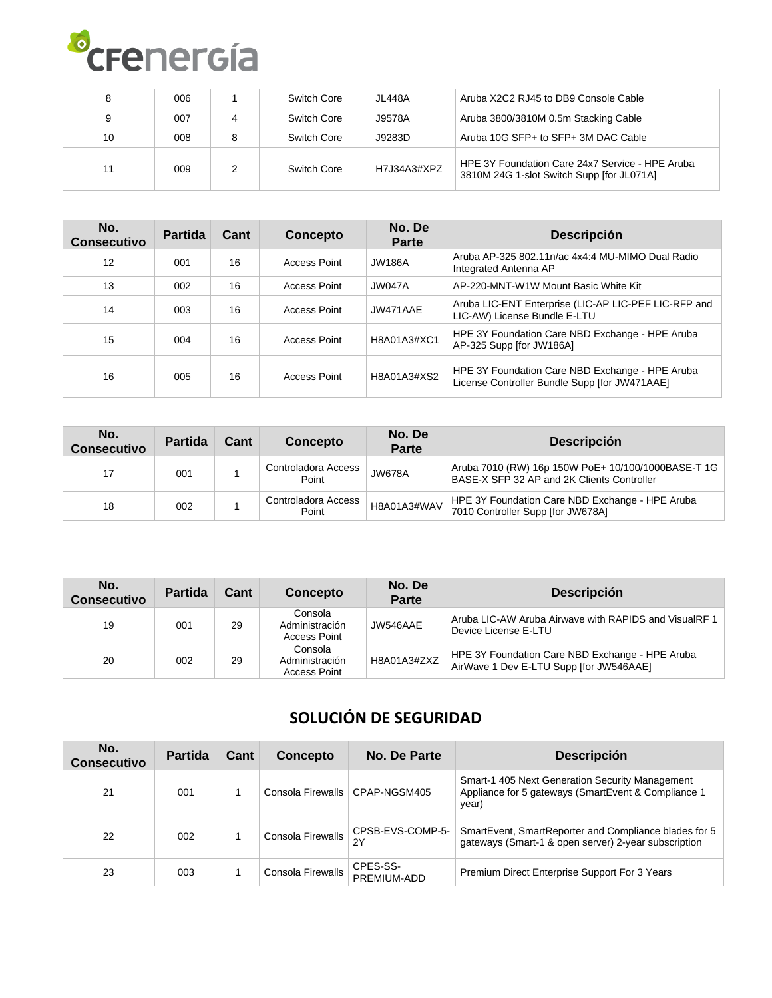|    | 006 |   | Switch Core | JL448A      | Aruba X2C2 RJ45 to DB9 Console Cable                                                         |
|----|-----|---|-------------|-------------|----------------------------------------------------------------------------------------------|
| Q  | 007 | 4 | Switch Core | J9578A      | Aruba 3800/3810M 0.5m Stacking Cable                                                         |
| 10 | 008 | 8 | Switch Core | J9283D      | Aruba 10G SFP+ to SFP+ 3M DAC Cable                                                          |
|    | 009 |   | Switch Core | H7J34A3#XPZ | HPE 3Y Foundation Care 24x7 Service - HPE Aruba<br>3810M 24G 1-slot Switch Supp [for JL071A] |

| No.<br><b>Consecutivo</b> | <b>Partida</b> | Cant | Concepto            | No. De<br><b>Parte</b> | <b>Descripción</b>                                                                               |
|---------------------------|----------------|------|---------------------|------------------------|--------------------------------------------------------------------------------------------------|
| 12                        | 001            | 16   | <b>Access Point</b> | <b>JW186A</b>          | Aruba AP-325 802.11n/ac 4x4:4 MU-MIMO Dual Radio<br>Integrated Antenna AP                        |
| 13                        | 002            | 16   | <b>Access Point</b> | <b>JW047A</b>          | AP-220-MNT-W1W Mount Basic White Kit                                                             |
| 14                        | 003            | 16   | <b>Access Point</b> | JW471AAE               | Aruba LIC-ENT Enterprise (LIC-AP LIC-PEF LIC-RFP and<br>LIC-AW) License Bundle E-LTU             |
| 15                        | 004            | 16   | <b>Access Point</b> | H8A01A3#XC1            | HPE 3Y Foundation Care NBD Exchange - HPE Aruba<br>AP-325 Supp [for JW186A]                      |
| 16                        | 005            | 16   | <b>Access Point</b> | H8A01A3#XS2            | HPE 3Y Foundation Care NBD Exchange - HPE Aruba<br>License Controller Bundle Supp [for JW471AAE] |

| No.<br><b>Consecutivo</b> | <b>Partida</b> | Cant | <b>Concepto</b>              | No. De<br>Parte | <b>Descripción</b>                                                                               |
|---------------------------|----------------|------|------------------------------|-----------------|--------------------------------------------------------------------------------------------------|
| 17                        | 001            |      | Controladora Access<br>Point | <b>JW678A</b>   | Aruba 7010 (RW) 16p 150W PoE+ 10/100/1000BASE-T 1G<br>BASE-X SFP 32 AP and 2K Clients Controller |
| 18                        | 002            |      | Controladora Access<br>Point | H8A01A3#WAV     | HPE 3Y Foundation Care NBD Exchange - HPE Aruba<br>7010 Controller Supp [for JW678A]             |

| No.<br><b>Consecutivo</b> | <b>Partida</b> | Cant | Concepto                                         | No. De<br>Parte | <b>Descripción</b>                                                                         |
|---------------------------|----------------|------|--------------------------------------------------|-----------------|--------------------------------------------------------------------------------------------|
| 19                        | 001            | 29   | Consola<br>Administración<br>Access Point        | JW546AAE        | Aruba LIC-AW Aruba Airwave with RAPIDS and VisualRF 1<br>Device License E-LTU              |
| 20                        | 002            | 29   | Consola<br>Administración<br><b>Access Point</b> | H8A01A3#ZXZ     | HPE 3Y Foundation Care NBD Exchange - HPE Aruba<br>AirWave 1 Dev E-LTU Supp [for JW546AAE] |

### **SOLUCIÓN DE SEGURIDAD**

| No.<br><b>Consecutivo</b> | <b>Partida</b> | Cant | <b>Concepto</b>   | No. De Parte            | <b>Descripción</b>                                                                                              |
|---------------------------|----------------|------|-------------------|-------------------------|-----------------------------------------------------------------------------------------------------------------|
| 21                        | 001            |      | Consola Firewalls | CPAP-NGSM405            | Smart-1 405 Next Generation Security Management<br>Appliance for 5 gateways (SmartEvent & Compliance 1<br>year) |
| 22                        | 002            |      | Consola Firewalls | CPSB-EVS-COMP-5-<br>2Y  | SmartEvent, SmartReporter and Compliance blades for 5<br>gateways (Smart-1 & open server) 2-year subscription   |
| 23                        | 003            |      | Consola Firewalls | CPES-SS-<br>PREMIUM-ADD | Premium Direct Enterprise Support For 3 Years                                                                   |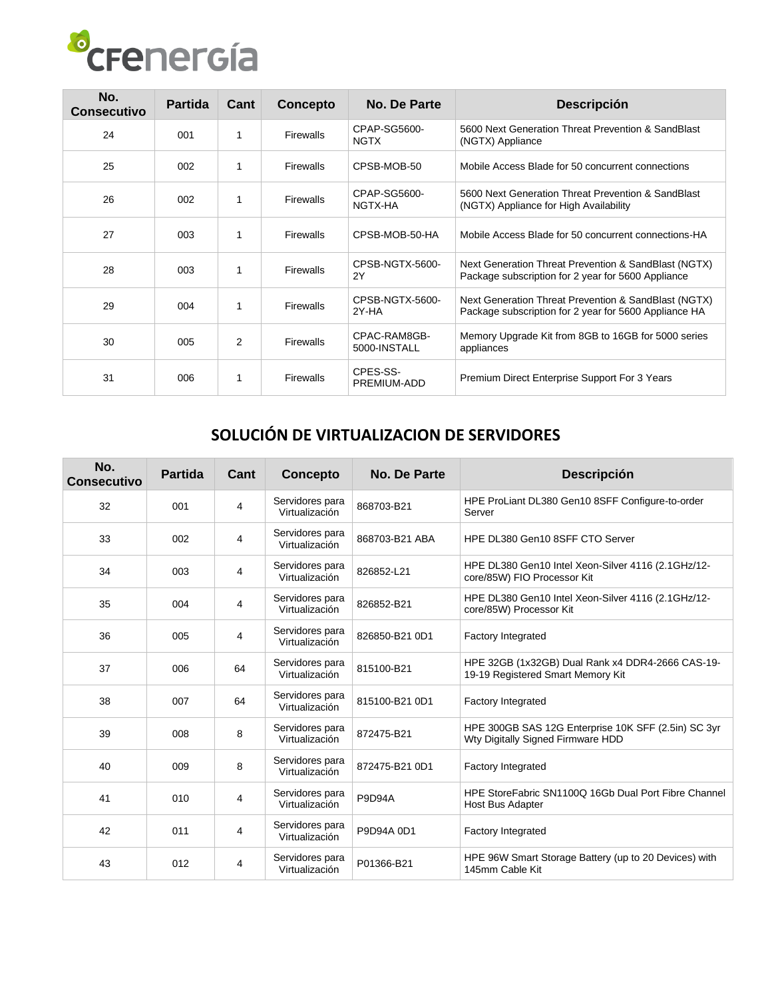| No.<br><b>Consecutivo</b> | <b>Partida</b> | Cant | Concepto         | No. De Parte                 | <b>Descripción</b>                                                                                            |
|---------------------------|----------------|------|------------------|------------------------------|---------------------------------------------------------------------------------------------------------------|
| 24                        | 001            |      | Firewalls        | CPAP-SG5600-<br><b>NGTX</b>  | 5600 Next Generation Threat Prevention & SandBlast<br>(NGTX) Appliance                                        |
| 25                        | 002            |      | Firewalls        | CPSB-MOB-50                  | Mobile Access Blade for 50 concurrent connections                                                             |
| 26                        | 002            |      | Firewalls        | CPAP-SG5600-<br>NGTX-HA      | 5600 Next Generation Threat Prevention & SandBlast<br>(NGTX) Appliance for High Availability                  |
| 27                        | 003            |      | <b>Firewalls</b> | CPSB-MOB-50-HA               | Mobile Access Blade for 50 concurrent connections-HA                                                          |
| 28                        | 003            |      | Firewalls        | CPSB-NGTX-5600-<br>2Y        | Next Generation Threat Prevention & SandBlast (NGTX)<br>Package subscription for 2 year for 5600 Appliance    |
| 29                        | 004            |      | Firewalls        | CPSB-NGTX-5600-<br>2Y-HA     | Next Generation Threat Prevention & SandBlast (NGTX)<br>Package subscription for 2 year for 5600 Appliance HA |
| 30                        | 005            | 2    | Firewalls        | CPAC-RAM8GB-<br>5000-INSTALL | Memory Upgrade Kit from 8GB to 16GB for 5000 series<br>appliances                                             |
| 31                        | 006            |      | Firewalls        | CPES-SS-<br>PREMIUM-ADD      | Premium Direct Enterprise Support For 3 Years                                                                 |

### **SOLUCIÓN DE VIRTUALIZACION DE SERVIDORES**

| No.<br><b>Consecutivo</b> | <b>Partida</b> | Cant           | Concepto                          | <b>No. De Parte</b> | <b>Descripción</b>                                                                       |
|---------------------------|----------------|----------------|-----------------------------------|---------------------|------------------------------------------------------------------------------------------|
| 32                        | 001            | 4              | Servidores para<br>Virtualización | 868703-B21          | HPE ProLiant DL380 Gen10 8SFF Configure-to-order<br>Server                               |
| 33                        | 002            | $\overline{4}$ | Servidores para<br>Virtualización | 868703-B21 ABA      | HPE DL380 Gen10 8SFF CTO Server                                                          |
| 34                        | 003            | $\overline{4}$ | Servidores para<br>Virtualización | 826852-L21          | HPE DL380 Gen10 Intel Xeon-Silver 4116 (2.1GHz/12-<br>core/85W) FIO Processor Kit        |
| 35                        | 004            | 4              | Servidores para<br>Virtualización | 826852-B21          | HPE DL380 Gen10 Intel Xeon-Silver 4116 (2.1GHz/12-<br>core/85W) Processor Kit            |
| 36                        | 005            | 4              | Servidores para<br>Virtualización | 826850-B21 0D1      | <b>Factory Integrated</b>                                                                |
| 37                        | 006            | 64             | Servidores para<br>Virtualización | 815100-B21          | HPE 32GB (1x32GB) Dual Rank x4 DDR4-2666 CAS-19-<br>19-19 Registered Smart Memory Kit    |
| 38                        | 007            | 64             | Servidores para<br>Virtualización | 815100-B21 0D1      | <b>Factory Integrated</b>                                                                |
| 39                        | 008            | 8              | Servidores para<br>Virtualización | 872475-B21          | HPE 300GB SAS 12G Enterprise 10K SFF (2.5in) SC 3yr<br>Wty Digitally Signed Firmware HDD |
| 40                        | 009            | 8              | Servidores para<br>Virtualización | 872475-B21 0D1      | <b>Factory Integrated</b>                                                                |
| 41                        | 010            | 4              | Servidores para<br>Virtualización | <b>P9D94A</b>       | HPE StoreFabric SN1100Q 16Gb Dual Port Fibre Channel<br><b>Host Bus Adapter</b>          |
| 42                        | 011            | 4              | Servidores para<br>Virtualización | P9D94A 0D1          | <b>Factory Integrated</b>                                                                |
| 43                        | 012            | 4              | Servidores para<br>Virtualización | P01366-B21          | HPE 96W Smart Storage Battery (up to 20 Devices) with<br>145mm Cable Kit                 |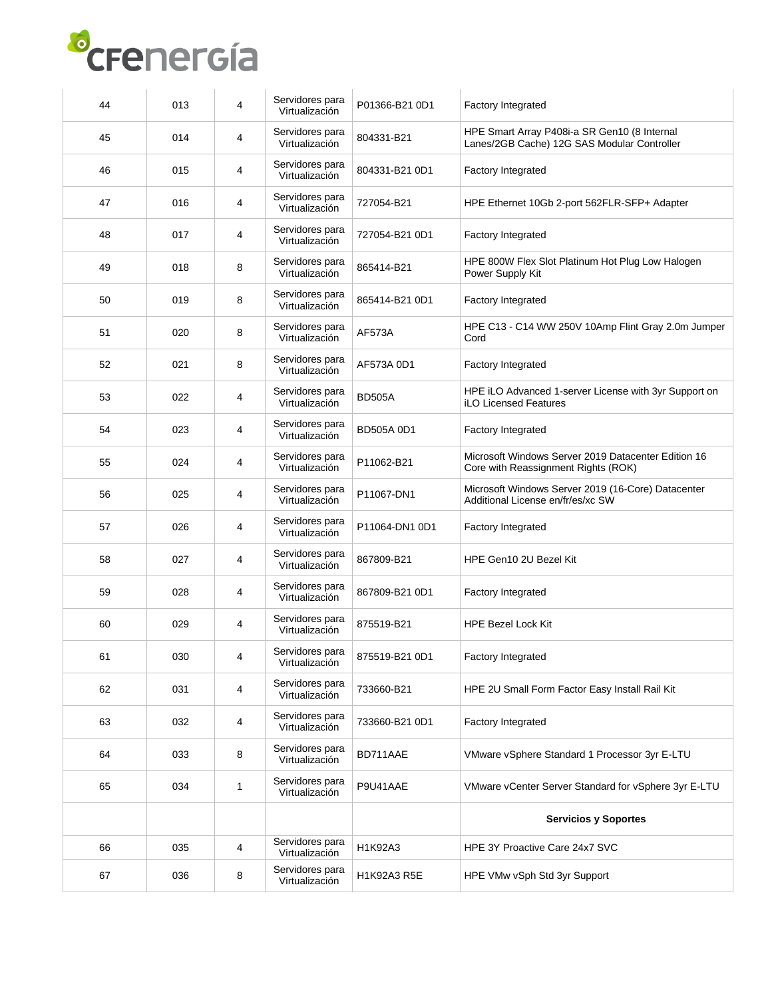| 44 | 013 | 4              | Servidores para<br>Virtualización | P01366-B21 0D1    | <b>Factory Integrated</b>                                                                   |
|----|-----|----------------|-----------------------------------|-------------------|---------------------------------------------------------------------------------------------|
| 45 | 014 | 4              | Servidores para<br>Virtualización | 804331-B21        | HPE Smart Array P408i-a SR Gen10 (8 Internal<br>Lanes/2GB Cache) 12G SAS Modular Controller |
| 46 | 015 | $\overline{4}$ | Servidores para<br>Virtualización | 804331-B21 0D1    | Factory Integrated                                                                          |
| 47 | 016 | 4              | Servidores para<br>Virtualización | 727054-B21        | HPE Ethernet 10Gb 2-port 562FLR-SFP+ Adapter                                                |
| 48 | 017 | 4              | Servidores para<br>Virtualización | 727054-B21 0D1    | Factory Integrated                                                                          |
| 49 | 018 | 8              | Servidores para<br>Virtualización | 865414-B21        | HPE 800W Flex Slot Platinum Hot Plug Low Halogen<br>Power Supply Kit                        |
| 50 | 019 | 8              | Servidores para<br>Virtualización | 865414-B21 0D1    | Factory Integrated                                                                          |
| 51 | 020 | 8              | Servidores para<br>Virtualización | <b>AF573A</b>     | HPE C13 - C14 WW 250V 10Amp Flint Gray 2.0m Jumper<br>Cord                                  |
| 52 | 021 | 8              | Servidores para<br>Virtualización | AF573A 0D1        | Factory Integrated                                                                          |
| 53 | 022 | 4              | Servidores para<br>Virtualización | <b>BD505A</b>     | HPE iLO Advanced 1-server License with 3yr Support on<br><b>iLO Licensed Features</b>       |
| 54 | 023 | 4              | Servidores para<br>Virtualización | <b>BD505A 0D1</b> | Factory Integrated                                                                          |
| 55 | 024 | 4              | Servidores para<br>Virtualización | P11062-B21        | Microsoft Windows Server 2019 Datacenter Edition 16<br>Core with Reassignment Rights (ROK)  |
| 56 | 025 | 4              | Servidores para<br>Virtualización | P11067-DN1        | Microsoft Windows Server 2019 (16-Core) Datacenter<br>Additional License en/fr/es/xc SW     |
| 57 | 026 | 4              | Servidores para<br>Virtualización | P11064-DN1 0D1    | Factory Integrated                                                                          |
| 58 | 027 | 4              | Servidores para<br>Virtualización | 867809-B21        | HPE Gen10 2U Bezel Kit                                                                      |
| 59 | 028 | 4              | Servidores para<br>Virtualización | 867809-B21 0D1    | <b>Factory Integrated</b>                                                                   |
| 60 | 029 | 4              | Servidores para<br>Virtualización | 875519-B21        | <b>HPE Bezel Lock Kit</b>                                                                   |
| 61 | 030 | 4              | Servidores para<br>Virtualización | 875519-B21 0D1    | <b>Factory Integrated</b>                                                                   |
| 62 | 031 | 4              | Servidores para<br>Virtualización | 733660-B21        | HPE 2U Small Form Factor Easy Install Rail Kit                                              |
| 63 | 032 | 4              | Servidores para<br>Virtualización | 733660-B21 0D1    | Factory Integrated                                                                          |
| 64 | 033 | 8              | Servidores para<br>Virtualización | BD711AAE          | VMware vSphere Standard 1 Processor 3yr E-LTU                                               |
| 65 | 034 | $\mathbf{1}$   | Servidores para<br>Virtualización | P9U41AAE          | VMware vCenter Server Standard for vSphere 3yr E-LTU                                        |
|    |     |                |                                   |                   | <b>Servicios y Soportes</b>                                                                 |
| 66 | 035 | 4              | Servidores para<br>Virtualización | H1K92A3           | HPE 3Y Proactive Care 24x7 SVC                                                              |
| 67 | 036 | 8              | Servidores para<br>Virtualización | H1K92A3 R5E       | HPE VMw vSph Std 3yr Support                                                                |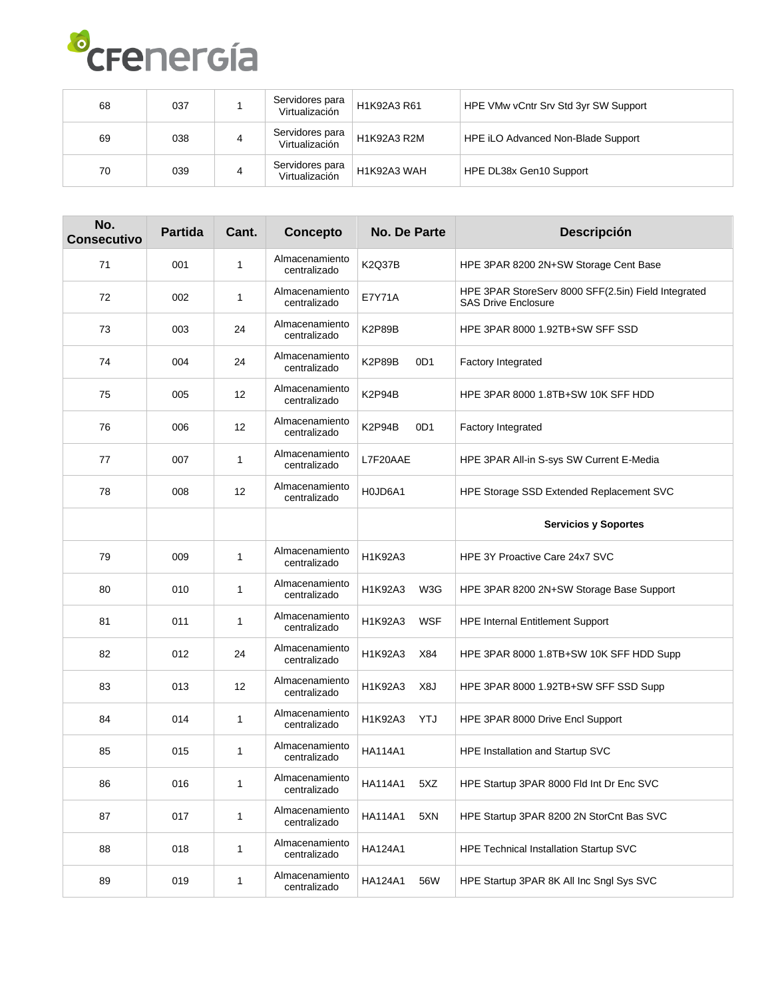

| 68 | 037 | Servidores para<br>Virtualización | H1K92A3 R61 | HPE VMw vCntr Srv Std 3yr SW Support |
|----|-----|-----------------------------------|-------------|--------------------------------------|
| 69 | 038 | Servidores para<br>Virtualización | H1K92A3 R2M | HPE ILO Advanced Non-Blade Support   |
| 70 | 039 | Servidores para<br>Virtualización | H1K92A3 WAH | HPE DL38x Gen10 Support              |

| No.<br><b>Consecutivo</b> | <b>Partida</b> | Cant. | Concepto                       | <b>No. De Parte</b>   | <b>Descripción</b>                                                                |
|---------------------------|----------------|-------|--------------------------------|-----------------------|-----------------------------------------------------------------------------------|
| 71                        | 001            | 1     | Almacenamiento<br>centralizado | <b>K2Q37B</b>         | HPE 3PAR 8200 2N+SW Storage Cent Base                                             |
| 72                        | 002            | 1     | Almacenamiento<br>centralizado | E7Y71A                | HPE 3PAR StoreServ 8000 SFF(2.5in) Field Integrated<br><b>SAS Drive Enclosure</b> |
| 73                        | 003            | 24    | Almacenamiento<br>centralizado | <b>K2P89B</b>         | HPE 3PAR 8000 1.92TB+SW SFF SSD                                                   |
| 74                        | 004            | 24    | Almacenamiento<br>centralizado | <b>K2P89B</b><br>0D1  | Factory Integrated                                                                |
| 75                        | 005            | 12    | Almacenamiento<br>centralizado | K2P94B                | HPE 3PAR 8000 1.8TB+SW 10K SFF HDD                                                |
| 76                        | 006            | 12    | Almacenamiento<br>centralizado | K2P94B<br>0D1         | Factory Integrated                                                                |
| 77                        | 007            | 1     | Almacenamiento<br>centralizado | L7F20AAE              | HPE 3PAR All-in S-sys SW Current E-Media                                          |
| 78                        | 008            | 12    | Almacenamiento<br>centralizado | H0JD6A1               | HPE Storage SSD Extended Replacement SVC                                          |
|                           |                |       |                                |                       | <b>Servicios y Soportes</b>                                                       |
| 79                        | 009            | 1     | Almacenamiento<br>centralizado | H1K92A3               | HPE 3Y Proactive Care 24x7 SVC                                                    |
| 80                        | 010            | 1     | Almacenamiento<br>centralizado | H1K92A3<br>W3G        | HPE 3PAR 8200 2N+SW Storage Base Support                                          |
| 81                        | 011            | 1     | Almacenamiento<br>centralizado | H1K92A3<br><b>WSF</b> | <b>HPE Internal Entitlement Support</b>                                           |
| 82                        | 012            | 24    | Almacenamiento<br>centralizado | H1K92A3<br>X84        | HPE 3PAR 8000 1.8TB+SW 10K SFF HDD Supp                                           |
| 83                        | 013            | 12    | Almacenamiento<br>centralizado | H1K92A3<br>X8J        | HPE 3PAR 8000 1.92TB+SW SFF SSD Supp                                              |
| 84                        | 014            | 1     | Almacenamiento<br>centralizado | YTJ<br>H1K92A3        | HPE 3PAR 8000 Drive Encl Support                                                  |
| 85                        | 015            | 1     | Almacenamiento<br>centralizado | <b>HA114A1</b>        | HPE Installation and Startup SVC                                                  |
| 86                        | 016            | 1     | Almacenamiento<br>centralizado | <b>HA114A1</b><br>5XZ | HPE Startup 3PAR 8000 Fld Int Dr Enc SVC                                          |
| 87                        | 017            | 1     | Almacenamiento<br>centralizado | 5XN<br><b>HA114A1</b> | HPE Startup 3PAR 8200 2N StorCnt Bas SVC                                          |
| 88                        | 018            | 1     | Almacenamiento<br>centralizado | HA124A1               | HPE Technical Installation Startup SVC                                            |
| 89                        | 019            | 1     | Almacenamiento<br>centralizado | 56W<br><b>HA124A1</b> | HPE Startup 3PAR 8K All Inc Sngl Sys SVC                                          |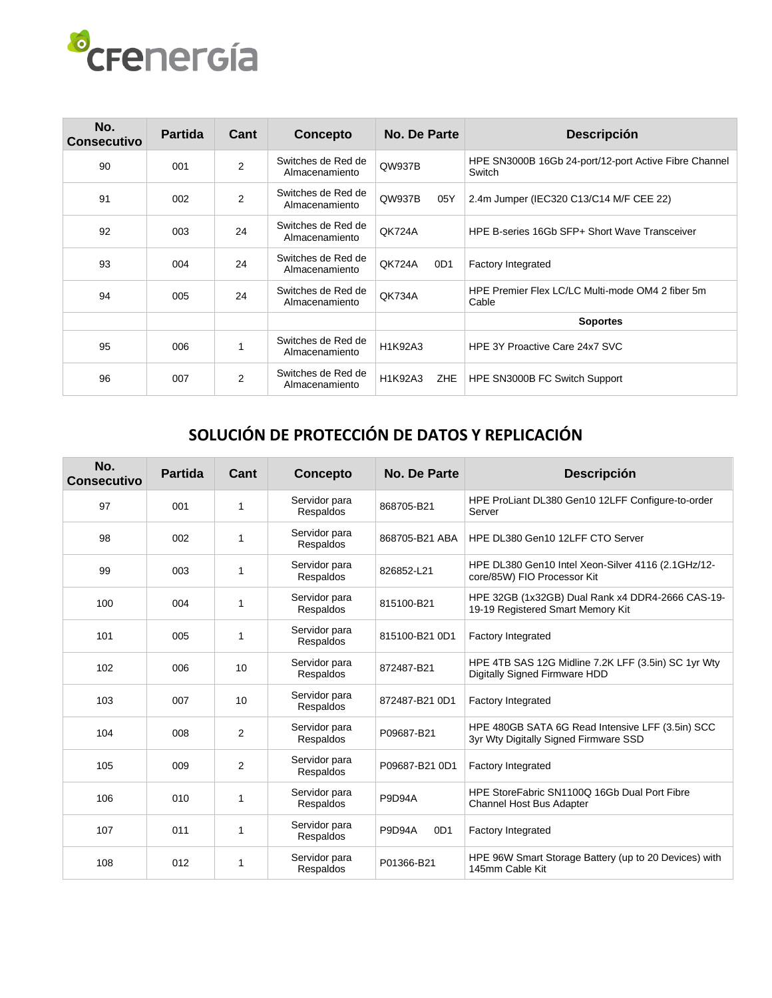| No.<br><b>Consecutivo</b> | <b>Partida</b> | Cant           | Concepto                             | No. De Parte              | <b>Descripción</b>                                              |
|---------------------------|----------------|----------------|--------------------------------------|---------------------------|-----------------------------------------------------------------|
| 90                        | 001            | $\overline{2}$ | Switches de Red de<br>Almacenamiento | QW937B                    | HPE SN3000B 16Gb 24-port/12-port Active Fibre Channel<br>Switch |
| 91                        | 002            | $\overline{2}$ | Switches de Red de<br>Almacenamiento | QW937B<br>05Y             | 2.4m Jumper (IEC320 C13/C14 M/F CEE 22)                         |
| 92                        | 003            | 24             | Switches de Red de<br>Almacenamiento | <b>QK724A</b>             | HPE B-series 16Gb SFP+ Short Wave Transceiver                   |
| 93                        | 004            | 24             | Switches de Red de<br>Almacenamiento | QK724A<br>0D <sub>1</sub> | <b>Factory Integrated</b>                                       |
| 94                        | 005            | 24             | Switches de Red de<br>Almacenamiento | <b>QK734A</b>             | HPE Premier Flex LC/LC Multi-mode OM4 2 fiber 5m<br>Cable       |
|                           |                |                |                                      |                           | <b>Soportes</b>                                                 |
| 95                        | 006            |                | Switches de Red de<br>Almacenamiento | H1K92A3                   | HPE 3Y Proactive Care 24x7 SVC                                  |
| 96                        | 007            | $\overline{2}$ | Switches de Red de<br>Almacenamiento | H1K92A3<br><b>ZHE</b>     | HPE SN3000B FC Switch Support                                   |

### **SOLUCIÓN DE PROTECCIÓN DE DATOS Y REPLICACIÓN**

| No.<br><b>Consecutivo</b> | <b>Partida</b> | Cant           | Concepto                   | <b>No. De Parte</b>              | <b>Descripción</b>                                                                        |
|---------------------------|----------------|----------------|----------------------------|----------------------------------|-------------------------------------------------------------------------------------------|
| 97                        | 001            | 1              | Servidor para<br>Respaldos | 868705-B21                       | HPE ProLiant DL380 Gen10 12LFF Configure-to-order<br>Server                               |
| 98                        | 002            | 1              | Servidor para<br>Respaldos | 868705-B21 ABA                   | HPE DL380 Gen10 12LFF CTO Server                                                          |
| 99                        | 003            | 1              | Servidor para<br>Respaldos | 826852-L21                       | HPE DL380 Gen10 Intel Xeon-Silver 4116 (2.1GHz/12-<br>core/85W) FIO Processor Kit         |
| 100                       | 004            | 1              | Servidor para<br>Respaldos | 815100-B21                       | HPE 32GB (1x32GB) Dual Rank x4 DDR4-2666 CAS-19-<br>19-19 Registered Smart Memory Kit     |
| 101                       | 005            | 1              | Servidor para<br>Respaldos | 815100-B21 0D1                   | <b>Factory Integrated</b>                                                                 |
| 102                       | 006            | 10             | Servidor para<br>Respaldos | 872487-B21                       | HPE 4TB SAS 12G Midline 7.2K LFF (3.5in) SC 1yr Wty<br>Digitally Signed Firmware HDD      |
| 103                       | 007            | 10             | Servidor para<br>Respaldos | 872487-B21 0D1                   | <b>Factory Integrated</b>                                                                 |
| 104                       | 008            | $\overline{2}$ | Servidor para<br>Respaldos | P09687-B21                       | HPE 480GB SATA 6G Read Intensive LFF (3.5in) SCC<br>3yr Wty Digitally Signed Firmware SSD |
| 105                       | 009            | $\overline{2}$ | Servidor para<br>Respaldos | P09687-B21 0D1                   | <b>Factory Integrated</b>                                                                 |
| 106                       | 010            | 1              | Servidor para<br>Respaldos | <b>P9D94A</b>                    | HPE StoreFabric SN1100Q 16Gb Dual Port Fibre<br><b>Channel Host Bus Adapter</b>           |
| 107                       | 011            | 1              | Servidor para<br>Respaldos | <b>P9D94A</b><br>0D <sub>1</sub> | <b>Factory Integrated</b>                                                                 |
| 108                       | 012            | 1              | Servidor para<br>Respaldos | P01366-B21                       | HPE 96W Smart Storage Battery (up to 20 Devices) with<br>145mm Cable Kit                  |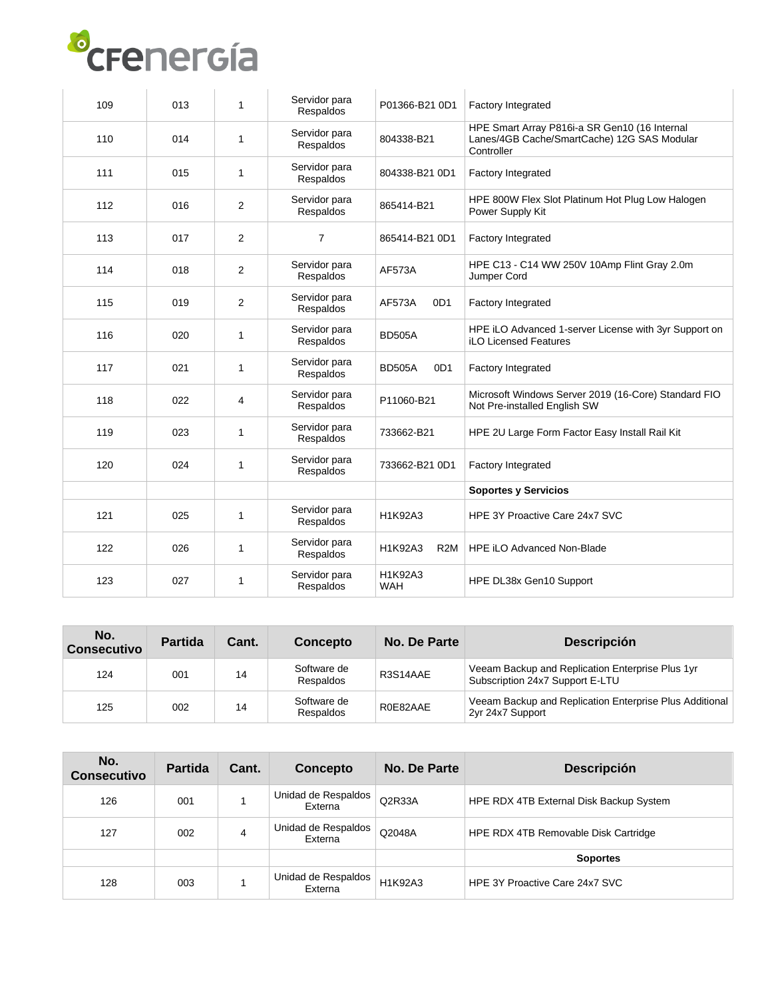# crenercía

| 109 | 013 | 1              | Servidor para<br>Respaldos        | P01366-B21 0D1                   | Factory Integrated                                                                                         |
|-----|-----|----------------|-----------------------------------|----------------------------------|------------------------------------------------------------------------------------------------------------|
| 110 | 014 | 1              | Servidor para<br>Respaldos        | 804338-B21                       | HPE Smart Array P816i-a SR Gen10 (16 Internal<br>Lanes/4GB Cache/SmartCache) 12G SAS Modular<br>Controller |
| 111 | 015 | $\mathbf{1}$   | Servidor para<br>Respaldos        | 804338-B21 0D1                   | Factory Integrated                                                                                         |
| 112 | 016 | 2              | Servidor para<br>Respaldos        | 865414-B21                       | HPE 800W Flex Slot Platinum Hot Plug Low Halogen<br>Power Supply Kit                                       |
| 113 | 017 | 2              | $\overline{7}$                    | 865414-B21 0D1                   | Factory Integrated                                                                                         |
| 114 | 018 | 2              | Servidor para<br>Respaldos        | <b>AF573A</b>                    | HPE C13 - C14 WW 250V 10Amp Flint Gray 2.0m<br>Jumper Cord                                                 |
| 115 | 019 | $\overline{2}$ | Servidor para<br><b>Respaldos</b> | 0D <sub>1</sub><br><b>AF573A</b> | Factory Integrated                                                                                         |
| 116 | 020 | 1              | Servidor para<br>Respaldos        | <b>BD505A</b>                    | HPE iLO Advanced 1-server License with 3yr Support on<br><b>iLO Licensed Features</b>                      |
| 117 | 021 | 1              | Servidor para<br>Respaldos        | <b>BD505A</b><br>0D <sub>1</sub> | Factory Integrated                                                                                         |
| 118 | 022 | 4              | Servidor para<br>Respaldos        | P11060-B21                       | Microsoft Windows Server 2019 (16-Core) Standard FIO<br>Not Pre-installed English SW                       |
| 119 | 023 | 1              | Servidor para<br>Respaldos        | 733662-B21                       | HPE 2U Large Form Factor Easy Install Rail Kit                                                             |
| 120 | 024 | 1              | Servidor para<br><b>Respaldos</b> | 733662-B21 0D1                   | Factory Integrated                                                                                         |
|     |     |                |                                   |                                  | <b>Soportes y Servicios</b>                                                                                |
| 121 | 025 | 1              | Servidor para<br><b>Respaldos</b> | H1K92A3                          | HPE 3Y Proactive Care 24x7 SVC                                                                             |
| 122 | 026 | 1              | Servidor para<br>Respaldos        | H1K92A3<br>R <sub>2</sub> M      | <b>HPE iLO Advanced Non-Blade</b>                                                                          |
| 123 | 027 | 1              | Servidor para<br>Respaldos        | H1K92A3<br><b>WAH</b>            | HPE DL38x Gen10 Support                                                                                    |

| No.<br><b>Consecutivo</b> | <b>Partida</b> | Cant. | <b>Concepto</b>          | No. De Parte | <b>Descripción</b>                                                                  |
|---------------------------|----------------|-------|--------------------------|--------------|-------------------------------------------------------------------------------------|
| 124                       | 001            | 14    | Software de<br>Respaldos | R3S14AAE     | Veeam Backup and Replication Enterprise Plus 1yr<br>Subscription 24x7 Support E-LTU |
| 125                       | 002            | 14    | Software de<br>Respaldos | R0E82AAE     | Veeam Backup and Replication Enterprise Plus Additional<br>2yr 24x7 Support         |

| No.<br><b>Consecutivo</b> | <b>Partida</b> | Cant. | Concepto                              | No. De Parte | <b>Descripción</b>                      |
|---------------------------|----------------|-------|---------------------------------------|--------------|-----------------------------------------|
| 126                       | 001            |       | Unidad de Respaldos<br><b>Externa</b> | Q2R33A       | HPE RDX 4TB External Disk Backup System |
| 127                       | 002            | 4     | Unidad de Respaldos<br>Externa        | Q2048A       | HPE RDX 4TB Removable Disk Cartridge    |
|                           |                |       |                                       |              | <b>Soportes</b>                         |
| 128                       | 003            |       | Unidad de Respaldos<br>Externa        | H1K92A3      | HPE 3Y Proactive Care 24x7 SVC          |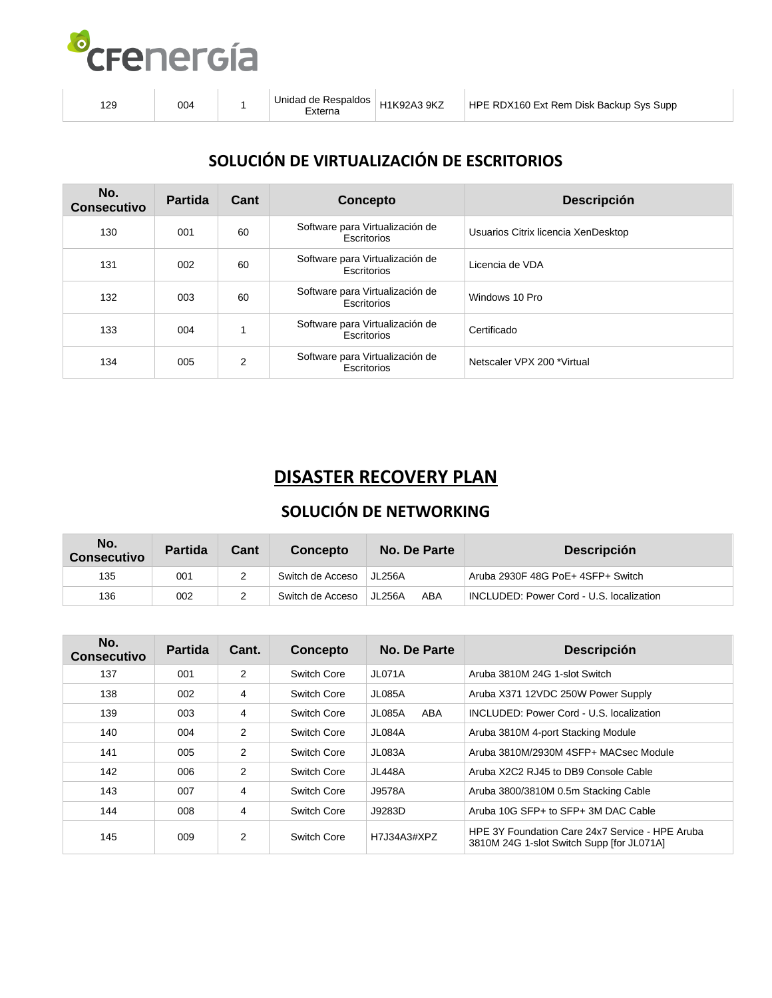

| 129 | 004 |  | Unidad de Respaldos | H1K92A3 9KZ | HPE RDX160 Ext Rem Disk Backup Sys Supp |
|-----|-----|--|---------------------|-------------|-----------------------------------------|
|-----|-----|--|---------------------|-------------|-----------------------------------------|

### **SOLUCIÓN DE VIRTUALIZACIÓN DE ESCRITORIOS**

| No.<br><b>Consecutivo</b> | <b>Partida</b> | Cant | <b>Concepto</b>                                | <b>Descripción</b>                  |
|---------------------------|----------------|------|------------------------------------------------|-------------------------------------|
| 130                       | 001            | 60   | Software para Virtualización de<br>Escritorios | Usuarios Citrix licencia XenDesktop |
| 131                       | 002            | 60   | Software para Virtualización de<br>Escritorios | Licencia de VDA                     |
| 132                       | 003            | 60   | Software para Virtualización de<br>Escritorios | Windows 10 Pro                      |
| 133                       | 004            |      | Software para Virtualización de<br>Escritorios | Certificado                         |
| 134                       | 005            | 2    | Software para Virtualización de<br>Escritorios | Netscaler VPX 200 *Virtual          |

### **DISASTER RECOVERY PLAN**

### **SOLUCIÓN DE NETWORKING**

| No.<br><b>Consecutivo</b> | <b>Partida</b> | Cant | <b>Concepto</b>  | No. De Parte  | <b>Descripción</b>                       |
|---------------------------|----------------|------|------------------|---------------|------------------------------------------|
| 135                       | 001            |      | Switch de Acceso | <b>JL256A</b> | Aruba 2930F 48G PoE+ 4SFP+ Switch        |
| 136                       | 002            |      | Switch de Acceso | ABA<br>JL256A | INCLUDED: Power Cord - U.S. localization |

| No.<br><b>Consecutivo</b> | <b>Partida</b> | Cant.          | Concepto    | No. De Parte         | <b>Descripción</b>                                                                           |
|---------------------------|----------------|----------------|-------------|----------------------|----------------------------------------------------------------------------------------------|
| 137                       | 001            | $\overline{2}$ | Switch Core | JL071A               | Aruba 3810M 24G 1-slot Switch                                                                |
| 138                       | 002            | 4              | Switch Core | JL085A               | Aruba X371 12VDC 250W Power Supply                                                           |
| 139                       | 003            | 4              | Switch Core | <b>JL085A</b><br>ABA | INCLUDED: Power Cord - U.S. localization                                                     |
| 140                       | 004            | 2              | Switch Core | <b>JL084A</b>        | Aruba 3810M 4-port Stacking Module                                                           |
| 141                       | 005            | 2              | Switch Core | JL083A               | Aruba 3810M/2930M 4SFP+ MACsec Module                                                        |
| 142                       | 006            | 2              | Switch Core | <b>JL448A</b>        | Aruba X2C2 RJ45 to DB9 Console Cable                                                         |
| 143                       | 007            | 4              | Switch Core | J9578A               | Aruba 3800/3810M 0.5m Stacking Cable                                                         |
| 144                       | 008            | 4              | Switch Core | J9283D               | Aruba 10G SFP+ to SFP+ 3M DAC Cable                                                          |
| 145                       | 009            | 2              | Switch Core | H7J34A3#XPZ          | HPE 3Y Foundation Care 24x7 Service - HPE Aruba<br>3810M 24G 1-slot Switch Supp [for JL071A] |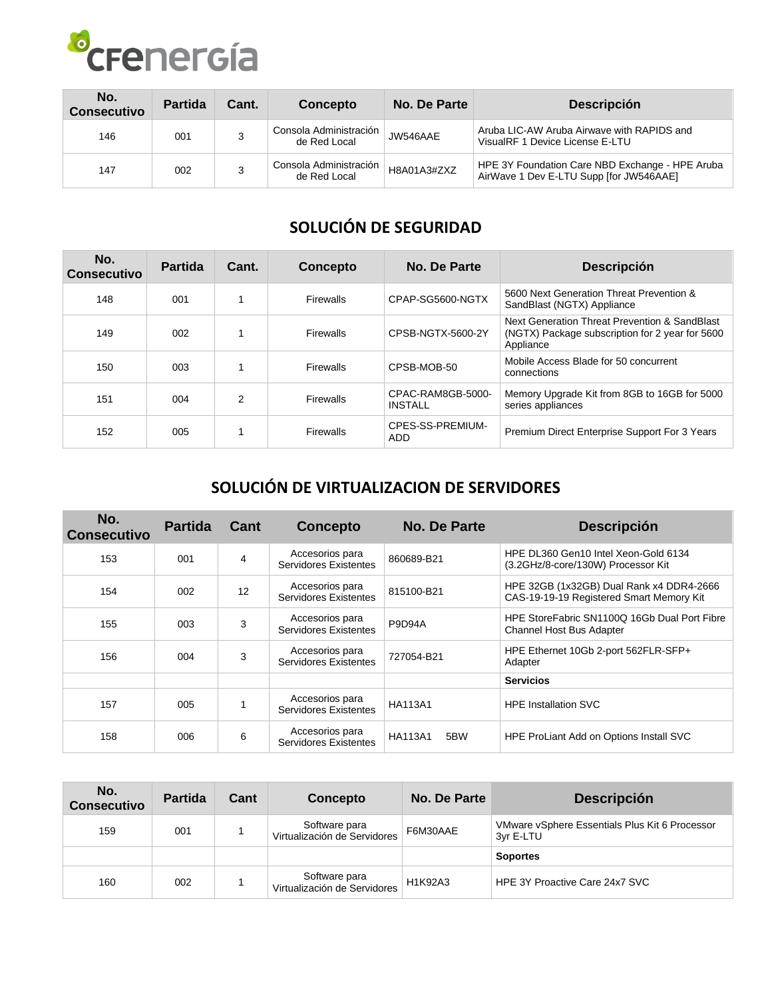

| No.<br><b>Consecutivo</b> | <b>Partida</b> | Cant. | <b>Concepto</b>                        | No. De Parte | <b>Descripción</b>                                                                         |
|---------------------------|----------------|-------|----------------------------------------|--------------|--------------------------------------------------------------------------------------------|
| 146                       | 001            |       | Consola Administración<br>de Red Local | JW546AAE     | Aruba LIC-AW Aruba Airwave with RAPIDS and<br>VisualRF 1 Device License E-LTU              |
| 147                       | 002            |       | Consola Administración<br>de Red Local | H8A01A3#ZXZ  | HPE 3Y Foundation Care NBD Exchange - HPE Aruba<br>AirWave 1 Dev E-LTU Supp [for JW546AAE] |

### **SOLUCIÓN DE SEGURIDAD**

| No.<br><b>Consecutivo</b> | <b>Partida</b> | Cant. | <b>Concepto</b>  | No. De Parte                        | <b>Descripción</b>                                                                                            |
|---------------------------|----------------|-------|------------------|-------------------------------------|---------------------------------------------------------------------------------------------------------------|
| 148                       | 001            |       | <b>Firewalls</b> | CPAP-SG5600-NGTX                    | 5600 Next Generation Threat Prevention &<br>SandBlast (NGTX) Appliance                                        |
| 149                       | 002            |       | <b>Firewalls</b> | CPSB-NGTX-5600-2Y                   | Next Generation Threat Prevention & SandBlast<br>(NGTX) Package subscription for 2 year for 5600<br>Appliance |
| 150                       | 003            |       | <b>Firewalls</b> | CPSB-MOB-50                         | Mobile Access Blade for 50 concurrent<br>connections                                                          |
| 151                       | 004            | 2     | <b>Firewalls</b> | CPAC-RAM8GB-5000-<br><b>INSTALL</b> | Memory Upgrade Kit from 8GB to 16GB for 5000<br>series appliances                                             |
| 152                       | 005            |       | <b>Firewalls</b> | CPES-SS-PREMIUM-<br><b>ADD</b>      | Premium Direct Enterprise Support For 3 Years                                                                 |

### **SOLUCIÓN DE VIRTUALIZACION DE SERVIDORES**

| No.<br><b>Consecutivo</b> | <b>Partida</b> | Cant | Concepto                                        | <b>No. De Parte</b>   | <b>Descripción</b>                                                                   |
|---------------------------|----------------|------|-------------------------------------------------|-----------------------|--------------------------------------------------------------------------------------|
| 153                       | 001            | 4    | Accesorios para<br>Servidores Existentes        | 860689-B21            | HPE DL360 Gen10 Intel Xeon-Gold 6134<br>(3.2GHz/8-core/130W) Processor Kit           |
| 154                       | 002            | 12   | Accesorios para<br>Servidores Existentes        | 815100-B21            | HPE 32GB (1x32GB) Dual Rank x4 DDR4-2666<br>CAS-19-19-19 Registered Smart Memory Kit |
| 155                       | 003            | 3    | Accesorios para<br>Servidores Existentes        | <b>P9D94A</b>         | HPE StoreFabric SN1100Q 16Gb Dual Port Fibre<br>Channel Host Bus Adapter             |
| 156                       | 004            | 3    | Accesorios para<br>Servidores Existentes        | 727054-B21            | HPE Ethernet 10Gb 2-port 562FLR-SFP+<br>Adapter                                      |
|                           |                |      |                                                 |                       | <b>Servicios</b>                                                                     |
| 157                       | 005            |      | Accesorios para<br><b>Servidores Existentes</b> | <b>HA113A1</b>        | <b>HPE Installation SVC</b>                                                          |
| 158                       | 006            | 6    | Accesorios para<br>Servidores Existentes        | <b>HA113A1</b><br>5BW | HPE ProLiant Add on Options Install SVC                                              |

| No.<br><b>Consecutivo</b> | <b>Partida</b> | Cant | <b>Concepto</b>                               | No. De Parte | <b>Descripción</b>                                          |
|---------------------------|----------------|------|-----------------------------------------------|--------------|-------------------------------------------------------------|
| 159                       | 001            |      | Software para<br>Virtualización de Servidores | F6M30AAE     | VMware vSphere Essentials Plus Kit 6 Processor<br>3yr E-LTU |
|                           |                |      |                                               |              | <b>Soportes</b>                                             |
| 160                       | 002            |      | Software para<br>Virtualización de Servidores | H1K92A3      | HPE 3Y Proactive Care 24x7 SVC                              |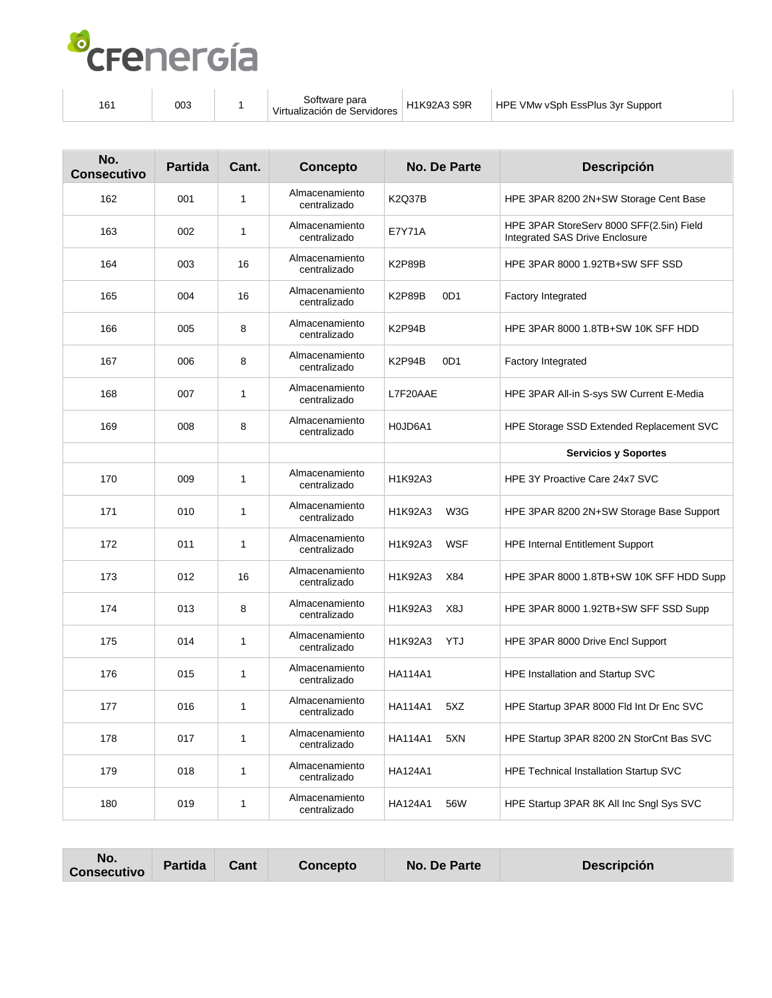

|  | 16٬ | 003 |  | Software para<br>Virtualización de Servidores | <b>H1K92A3 S9R</b> | HPE VMw vSph EssPlus 3yr Support |
|--|-----|-----|--|-----------------------------------------------|--------------------|----------------------------------|
|--|-----|-----|--|-----------------------------------------------|--------------------|----------------------------------|

| No.<br><b>Consecutivo</b> | <b>Partida</b> | Cant.        | <b>Concepto</b>                | <b>No. De Parte</b>              | Descripción                                                                |
|---------------------------|----------------|--------------|--------------------------------|----------------------------------|----------------------------------------------------------------------------|
| 162                       | 001            | $\mathbf{1}$ | Almacenamiento<br>centralizado | <b>K2Q37B</b>                    | HPE 3PAR 8200 2N+SW Storage Cent Base                                      |
| 163                       | 002            | $\mathbf{1}$ | Almacenamiento<br>centralizado | <b>E7Y71A</b>                    | HPE 3PAR StoreServ 8000 SFF(2.5in) Field<br>Integrated SAS Drive Enclosure |
| 164                       | 003            | 16           | Almacenamiento<br>centralizado | <b>K2P89B</b>                    | HPE 3PAR 8000 1.92TB+SW SFF SSD                                            |
| 165                       | 004            | 16           | Almacenamiento<br>centralizado | <b>K2P89B</b><br>0D <sub>1</sub> | Factory Integrated                                                         |
| 166                       | 005            | 8            | Almacenamiento<br>centralizado | K2P94B                           | HPE 3PAR 8000 1.8TB+SW 10K SFF HDD                                         |
| 167                       | 006            | 8            | Almacenamiento<br>centralizado | K2P94B<br>0D <sub>1</sub>        | <b>Factory Integrated</b>                                                  |
| 168                       | 007            | 1            | Almacenamiento<br>centralizado | L7F20AAE                         | HPE 3PAR All-in S-sys SW Current E-Media                                   |
| 169                       | 008            | 8            | Almacenamiento<br>centralizado | H0JD6A1                          | HPE Storage SSD Extended Replacement SVC                                   |
|                           |                |              |                                |                                  | <b>Servicios y Soportes</b>                                                |
| 170                       | 009            | $\mathbf{1}$ | Almacenamiento<br>centralizado | H1K92A3                          | HPE 3Y Proactive Care 24x7 SVC                                             |
| 171                       | 010            | $\mathbf{1}$ | Almacenamiento<br>centralizado | H1K92A3<br>W3G                   | HPE 3PAR 8200 2N+SW Storage Base Support                                   |
| 172                       | 011            | 1            | Almacenamiento<br>centralizado | <b>WSF</b><br>H1K92A3            | <b>HPE Internal Entitlement Support</b>                                    |
| 173                       | 012            | 16           | Almacenamiento<br>centralizado | H1K92A3<br>X84                   | HPE 3PAR 8000 1.8TB+SW 10K SFF HDD Supp                                    |
| 174                       | 013            | 8            | Almacenamiento<br>centralizado | H1K92A3<br>X8J                   | HPE 3PAR 8000 1.92TB+SW SFF SSD Supp                                       |
| 175                       | 014            | $\mathbf{1}$ | Almacenamiento<br>centralizado | YTJ<br>H1K92A3                   | HPE 3PAR 8000 Drive Encl Support                                           |
| 176                       | 015            | 1            | Almacenamiento<br>centralizado | <b>HA114A1</b>                   | HPE Installation and Startup SVC                                           |
| 177                       | 016            | 1            | Almacenamiento<br>centralizado | HA114A1<br>5XZ                   | HPE Startup 3PAR 8000 Fld Int Dr Enc SVC                                   |
| 178                       | 017            | 1            | Almacenamiento<br>centralizado | <b>HA114A1</b><br>5XN            | HPE Startup 3PAR 8200 2N StorCnt Bas SVC                                   |
| 179                       | 018            | $\mathbf{1}$ | Almacenamiento<br>centralizado | <b>HA124A1</b>                   | HPE Technical Installation Startup SVC                                     |
| 180                       | 019            | 1            | Almacenamiento<br>centralizado | <b>HA124A1</b><br>56W            | HPE Startup 3PAR 8K All Inc Sngl Sys SVC                                   |

| No.                | <b>Partida</b> | Cant | <b>Concepto</b> | No. De Parte | <b>Descripción</b> |
|--------------------|----------------|------|-----------------|--------------|--------------------|
| <b>Consecutivo</b> |                |      |                 |              |                    |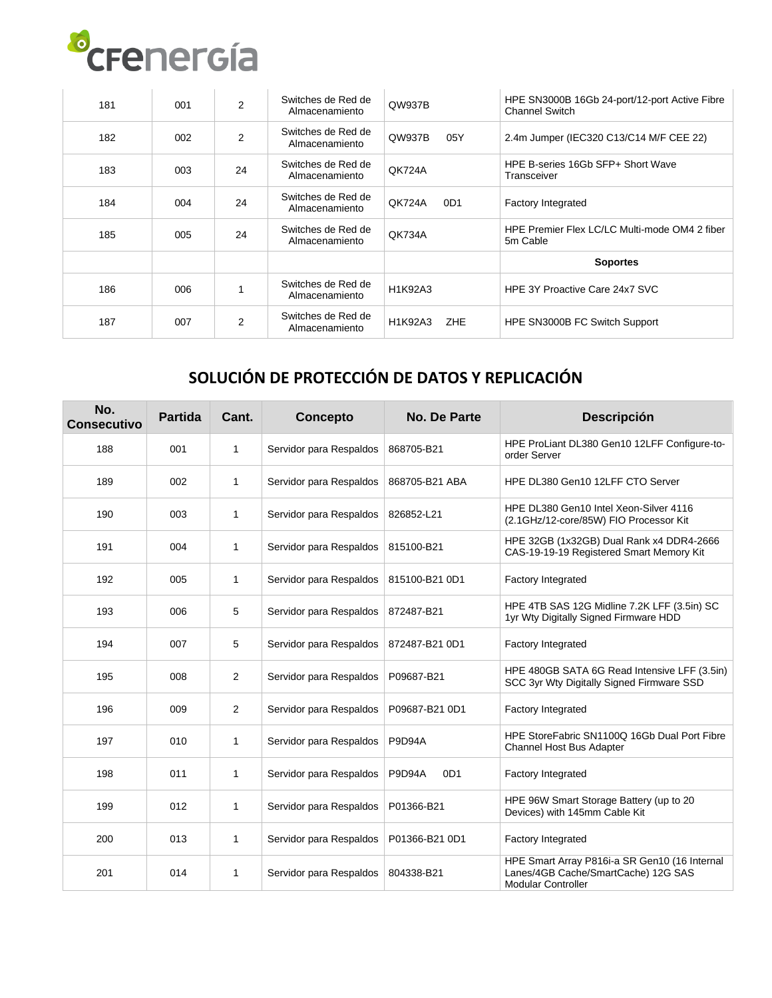

| 181 | 001 | 2              | Switches de Red de<br>Almacenamiento | QW937B                | HPE SN3000B 16Gb 24-port/12-port Active Fibre<br><b>Channel Switch</b> |
|-----|-----|----------------|--------------------------------------|-----------------------|------------------------------------------------------------------------|
| 182 | 002 | $\overline{2}$ | Switches de Red de<br>Almacenamiento | QW937B<br>05Y         | 2.4m Jumper (IEC320 C13/C14 M/F CEE 22)                                |
| 183 | 003 | 24             | Switches de Red de<br>Almacenamiento | <b>QK724A</b>         | HPE B-series 16Gb SFP+ Short Wave<br>Transceiver                       |
| 184 | 004 | 24             | Switches de Red de<br>Almacenamiento | <b>QK724A</b><br>0D1  | Factory Integrated                                                     |
| 185 | 005 | 24             | Switches de Red de<br>Almacenamiento | <b>QK734A</b>         | HPE Premier Flex LC/LC Multi-mode OM4 2 fiber<br>5m Cable              |
|     |     |                |                                      |                       | <b>Soportes</b>                                                        |
| 186 | 006 |                | Switches de Red de<br>Almacenamiento | H1K92A3               | HPF 3Y Proactive Care 24x7 SVC                                         |
| 187 | 007 | $\overline{2}$ | Switches de Red de<br>Almacenamiento | H1K92A3<br><b>ZHE</b> | HPE SN3000B FC Switch Support                                          |

### **SOLUCIÓN DE PROTECCIÓN DE DATOS Y REPLICACIÓN**

| No.<br><b>Consecutivo</b> | <b>Partida</b> | Cant.        | Concepto                | No. De Parte                      | <b>Descripción</b>                                                                                                |
|---------------------------|----------------|--------------|-------------------------|-----------------------------------|-------------------------------------------------------------------------------------------------------------------|
| 188                       | 001            | 1            | Servidor para Respaldos | 868705-B21                        | HPE ProLiant DL380 Gen10 12LFF Configure-to-<br>order Server                                                      |
| 189                       | 002            | $\mathbf{1}$ | Servidor para Respaldos | 868705-B21 ABA                    | HPE DL380 Gen10 12LFF CTO Server                                                                                  |
| 190                       | 003            | 1            | Servidor para Respaldos | 826852-L21                        | HPE DL380 Gen10 Intel Xeon-Silver 4116<br>(2.1GHz/12-core/85W) FIO Processor Kit                                  |
| 191                       | 004            | 1            | Servidor para Respaldos | 815100-B21                        | HPE 32GB (1x32GB) Dual Rank x4 DDR4-2666<br>CAS-19-19-19 Registered Smart Memory Kit                              |
| 192                       | 005            | 1            | Servidor para Respaldos | 815100-B21 0D1                    | Factory Integrated                                                                                                |
| 193                       | 006            | 5            | Servidor para Respaldos | 872487-B21                        | HPE 4TB SAS 12G Midline 7.2K LFF (3.5in) SC<br>1yr Wty Digitally Signed Firmware HDD                              |
| 194                       | 007            | 5            | Servidor para Respaldos | 872487-B21 0D1                    | Factory Integrated                                                                                                |
| 195                       | 008            | 2            | Servidor para Respaldos | P09687-B21                        | HPE 480GB SATA 6G Read Intensive LFF (3.5in)<br>SCC 3yr Wty Digitally Signed Firmware SSD                         |
| 196                       | 009            | 2            | Servidor para Respaldos | P09687-B21 0D1                    | <b>Factory Integrated</b>                                                                                         |
| 197                       | 010            | $\mathbf{1}$ | Servidor para Respaldos | <b>P9D94A</b>                     | HPE StoreFabric SN1100Q 16Gb Dual Port Fibre<br>Channel Host Bus Adapter                                          |
| 198                       | 011            | $\mathbf{1}$ | Servidor para Respaldos | <b>P9D94A</b><br>0 <sub>D</sub> 1 | Factory Integrated                                                                                                |
| 199                       | 012            | 1            | Servidor para Respaldos | P01366-B21                        | HPE 96W Smart Storage Battery (up to 20<br>Devices) with 145mm Cable Kit                                          |
| 200                       | 013            | 1            | Servidor para Respaldos | P01366-B21 0D1                    | <b>Factory Integrated</b>                                                                                         |
| 201                       | 014            | 1            | Servidor para Respaldos | 804338-B21                        | HPE Smart Array P816i-a SR Gen10 (16 Internal<br>Lanes/4GB Cache/SmartCache) 12G SAS<br><b>Modular Controller</b> |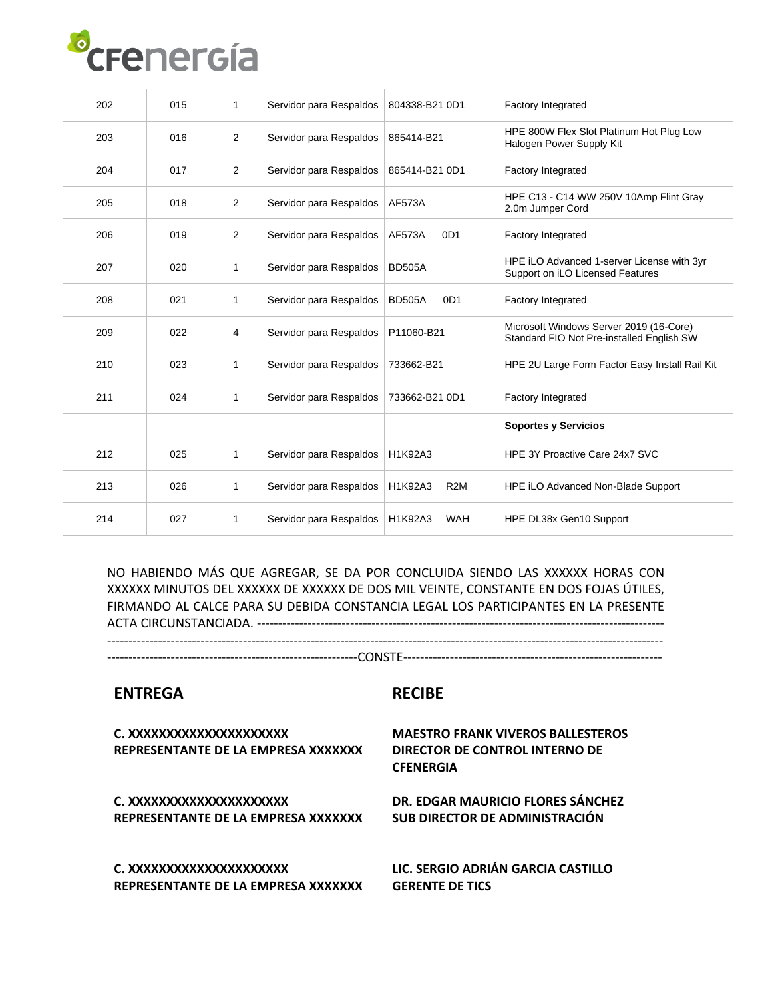| 202 | 015 | $\mathbf{1}$   | Servidor para Respaldos | 804338-B21 0D1                   | <b>Factory Integrated</b>                                                            |
|-----|-----|----------------|-------------------------|----------------------------------|--------------------------------------------------------------------------------------|
| 203 | 016 | $\overline{2}$ | Servidor para Respaldos | 865414-B21                       | HPE 800W Flex Slot Platinum Hot Plug Low<br>Halogen Power Supply Kit                 |
| 204 | 017 | $\overline{2}$ | Servidor para Respaldos | 865414-B21 0D1                   | <b>Factory Integrated</b>                                                            |
| 205 | 018 | 2              | Servidor para Respaldos | AF573A                           | HPE C13 - C14 WW 250V 10Amp Flint Gray<br>2.0m Jumper Cord                           |
| 206 | 019 | 2              | Servidor para Respaldos | AF573A<br>0D <sub>1</sub>        | Factory Integrated                                                                   |
| 207 | 020 | 1              | Servidor para Respaldos | <b>BD505A</b>                    | HPE iLO Advanced 1-server License with 3yr<br>Support on iLO Licensed Features       |
| 208 | 021 | 1              | Servidor para Respaldos | <b>BD505A</b><br>0D <sub>1</sub> | <b>Factory Integrated</b>                                                            |
| 209 | 022 | 4              | Servidor para Respaldos | P11060-B21                       | Microsoft Windows Server 2019 (16-Core)<br>Standard FIO Not Pre-installed English SW |
| 210 | 023 | 1              | Servidor para Respaldos | 733662-B21                       | HPE 2U Large Form Factor Easy Install Rail Kit                                       |
| 211 | 024 | 1              | Servidor para Respaldos | 733662-B21 0D1                   | <b>Factory Integrated</b>                                                            |
|     |     |                |                         |                                  | <b>Soportes y Servicios</b>                                                          |
| 212 | 025 | 1              | Servidor para Respaldos | H1K92A3                          | HPE 3Y Proactive Care 24x7 SVC                                                       |
| 213 | 026 | 1              | Servidor para Respaldos | H1K92A3<br>R <sub>2</sub> M      | HPE ILO Advanced Non-Blade Support                                                   |
| 214 | 027 | 1              | Servidor para Respaldos | H1K92A3<br><b>WAH</b>            | HPE DL38x Gen10 Support                                                              |

NO HABIENDO MÁS QUE AGREGAR, SE DA POR CONCLUIDA SIENDO LAS XXXXXX HORAS CON XXXXXX MINUTOS DEL XXXXXX DE XXXXXX DE DOS MIL VEINTE, CONSTANTE EN DOS FOJAS ÚTILES, FIRMANDO AL CALCE PARA SU DEBIDA CONSTANCIA LEGAL LOS PARTICIPANTES EN LA PRESENTE ACTA CIRCUNSTANCIADA. ------------------------------------------------------------------------------------------------

-----------------------------------------------------------------------------------------------------------------------------------

-----------------------------------------------------------CONSTE-------------------------------------------------------------

### **ENTREGA RECIBE**

| C. XXXXXXXXXXXXXXXXXXXXX<br>REPRESENTANTE DE LA EMPRESA XXXXXXX | <b>MAESTRO FRANK VIVEROS BALLESTEROS</b><br>DIRECTOR DE CONTROL INTERNO DE<br><b>CFENERGIA</b> |
|-----------------------------------------------------------------|------------------------------------------------------------------------------------------------|
| C. XXXXXXXXXXXXXXXXXXXXX                                        | DR. EDGAR MAURICIO FLORES SÁNCHEZ                                                              |
| REPRESENTANTE DE LA EMPRESA XXXXXXX                             | SUB DIRECTOR DE ADMINISTRACIÓN                                                                 |
| C. XXXXXXXXXXXXXXXXXXXXX                                        | LIC. SERGIO ADRIÁN GARCIA CASTILLO                                                             |
| REPRESENTANTE DE LA EMPRESA XXXXXXX                             | <b>GERENTE DE TICS</b>                                                                         |